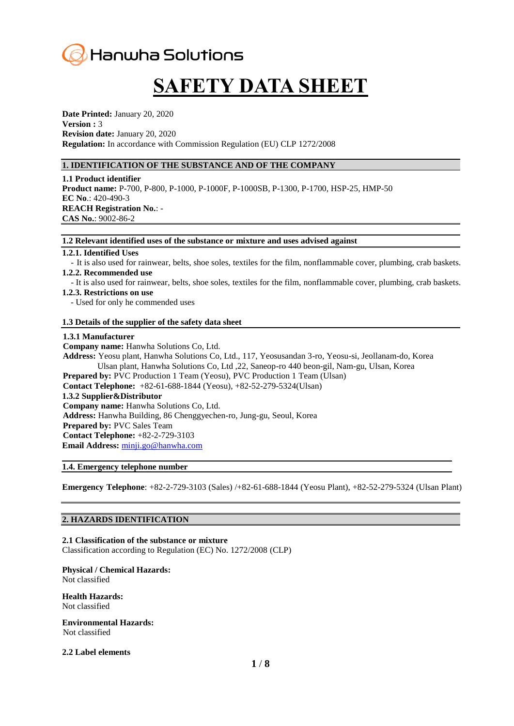

# **SAFETY DATA SHEET**

**Date Printed:** January 20, 2020 **Version :** 3 **Revision date:** January 20, 2020 **Regulation:** In accordance with Commission Regulation (EU) CLP 1272/2008

# **1. IDENTIFICATION OF THE SUBSTANCE AND OF THE COMPANY**

**1.1 Product identifier Product name:** P-700, P-800, P-1000, P-1000F, P-1000SB, P-1300, P-1700, HSP-25, HMP-50 **EC No**.: 420-490-3 **REACH Registration No.**: - **CAS No.**: 9002-86-2

#### **1.2 Relevant identified uses of the substance or mixture and uses advised against**

#### **1.2.1. Identified Uses**

- It is also used for rainwear, belts, shoe soles, textiles for the film, nonflammable cover, plumbing, crab baskets. **1.2.2. Recommended use**

- It is also used for rainwear, belts, shoe soles, textiles for the film, nonflammable cover, plumbing, crab baskets.

#### **1.2.3. Restrictions on use**

- Used for only he commended uses

# **1.3 Details of the supplier of the safety data sheet**

#### **1.3.1 Manufacturer**

**Company name:** Hanwha Solutions Co, Ltd. **Address:** Yeosu plant, Hanwha Solutions Co, Ltd., 117, Yeosusandan 3-ro, Yeosu-si, Jeollanam-do, Korea Ulsan plant, Hanwha Solutions Co, Ltd ,22, Saneop-ro 440 beon-gil, Nam-gu, Ulsan, Korea **Prepared by:** PVC Production 1 Team (Yeosu), PVC Production 1 Team (Ulsan) **Contact Telephone:** +82-61-688-1844 (Yeosu), +82-52-279-5324(Ulsan) **1.3.2 Supplier&Distributor Company name:** Hanwha Solutions Co, Ltd. **Address:** Hanwha Building, 86 Chenggyechen-ro, Jung-gu, Seoul, Korea **Prepared by:** PVC Sales Team **Contact Telephone:** +82-2-729-3103 **Email Address:** [minji.go@hanwha.com](mailto:minji.go@hanwha.com)

#### **1.4. Emergency telephone number**

**Emergency Telephone**: +82-2-729-3103 (Sales) /+82-61-688-1844 (Yeosu Plant), +82-52-279-5324 (Ulsan Plant)

# **2. HAZARDS IDENTIFICATION**

**2.1 Classification of the substance or mixture** Classification according to Regulation (EC) No. 1272/2008 (CLP)

# **Physical / Chemical Hazards:**

Not classified

**Health Hazards:**  Not classified

**Environmental Hazards:**  Not classified

#### **2.2 Label elements**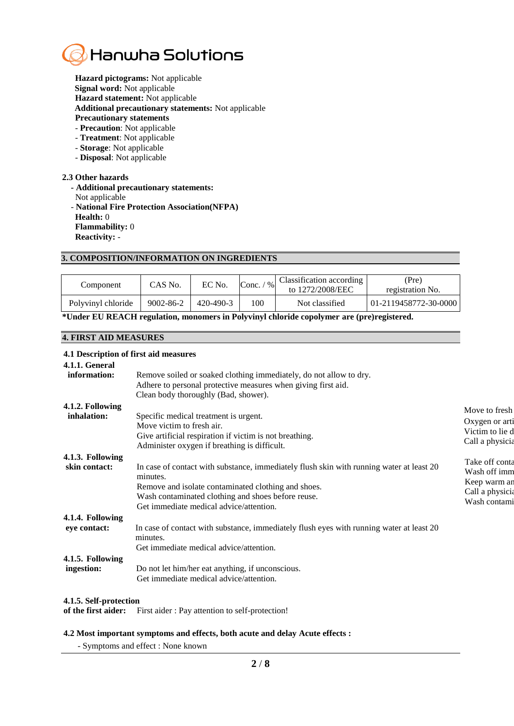

**Hazard pictograms:** Not applicable **Signal word:** Not applicable **Hazard statement:** Not applicable **Additional precautionary statements:** Not applicable

- **Precautionary statements**
- **Precaution**: Not applicable
- **Treatment**: Not applicable
- **Storage**: Not applicable
- **Disposal**: Not applicable

# **2.3 Other hazards**

 **- Additional precautionary statements:** Not applicable - **National Fire Protection Association(NFPA) Health:** 0 **Flammability:** 0 **Reactivity:** -

# **3. COMPOSITION/INFORMATION ON INGREDIENTS**

| Component          | CAS No.   | EC No.          | Conc. $\sqrt{ }$<br>$\%$ | Classification according<br>to 1272/2008/EEC | (Pre)<br>registration No. |
|--------------------|-----------|-----------------|--------------------------|----------------------------------------------|---------------------------|
| Polyvinyl chloride | 9002-86-2 | $420 - 490 - 3$ | 100                      | Not classified                               | 01-2119458772-30-0000     |

**\*Under EU REACH regulation, monomers in Polyvinyl chloride copolymer are (pre)registered.**

# **4. FIRST AID MEASURES**

# **4.1 Description of first aid measures**

| 4.1.1. General<br>information:<br>Remove soiled or soaked clothing immediately, do not allow to dry.<br>Adhere to personal protective measures when giving first aid.                                                                                                                                                                                                                  |
|----------------------------------------------------------------------------------------------------------------------------------------------------------------------------------------------------------------------------------------------------------------------------------------------------------------------------------------------------------------------------------------|
| Clean body thoroughly (Bad, shower).                                                                                                                                                                                                                                                                                                                                                   |
| 4.1.2. Following<br>Move to fresh<br>inhalation:<br>Specific medical treatment is urgent.<br>Oxygen or arti<br>Move victim to fresh air.<br>Victim to lie d<br>Give artificial respiration if victim is not breathing.<br>Call a physicia<br>Administer oxygen if breathing is difficult.                                                                                              |
| 4.1.3. Following<br>Take off conta<br>In case of contact with substance, immediately flush skin with running water at least 20<br>skin contact:<br>Wash off imm<br>minutes.<br>Keep warm an<br>Remove and isolate contaminated clothing and shoes.<br>Call a physicia<br>Wash contaminated clothing and shoes before reuse.<br>Wash contami<br>Get immediate medical advice/attention. |
| 4.1.4. Following<br>In case of contact with substance, immediately flush eyes with running water at least 20<br>eye contact:<br>minutes.<br>Get immediate medical advice/attention.                                                                                                                                                                                                    |
| 4.1.5. Following<br>Do not let him/her eat anything, if unconscious.<br>ingestion:<br>Get immediate medical advice/attention.                                                                                                                                                                                                                                                          |

# **4.1.5. Self-protection**

**of the first aider:** First aider : Pay attention to self-protection!

#### **4.2 Most important symptoms and effects, both acute and delay Acute effects :**

- Symptoms and effect : None known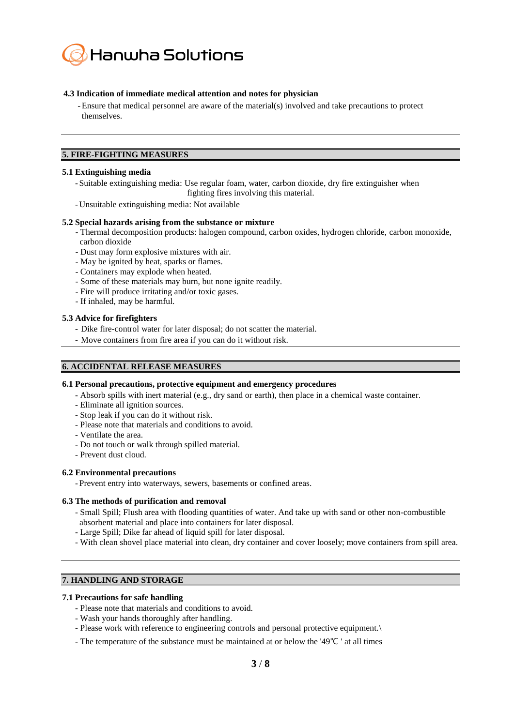

# **4.3 Indication of immediate medical attention and notes for physician**

-Ensure that medical personnel are aware of the material(s) involved and take precautions to protect themselves.

# **5. FIRE-FIGHTING MEASURES**

# **5.1 Extinguishing media**

- Suitable extinguishing media: Use regular foam, water, carbon dioxide, dry fire extinguisher when fighting fires involving this material.
- Unsuitable extinguishing media: Not available

## **5.2 Special hazards arising from the substance or mixture**

- Thermal decomposition products: halogen compound, carbon oxides, hydrogen chloride, carbon monoxide, carbon dioxide
- Dust may form explosive mixtures with air.
- May be ignited by heat, sparks or flames.
- Containers may explode when heated.
- Some of these materials may burn, but none ignite readily.
- Fire will produce irritating and/or toxic gases.
- If inhaled, may be harmful.

# **5.3 Advice for firefighters**

- Dike fire-control water for later disposal; do not scatter the material.
- Move containers from fire area if you can do it without risk.

# **6. ACCIDENTAL RELEASE MEASURES**

# **6.1 Personal precautions, protective equipment and emergency procedures**

- Absorb spills with inert material (e.g., dry sand or earth), then place in a chemical waste container.
- Eliminate all ignition sources.
- Stop leak if you can do it without risk.
- Please note that materials and conditions to avoid.
- Ventilate the area.
- Do not touch or walk through spilled material.
- Prevent dust cloud.

# **6.2 Environmental precautions**

- Prevent entry into waterways, sewers, basements or confined areas.

# **6.3 The methods of purification and removal**

- Small Spill; Flush area with flooding quantities of water. And take up with sand or other non-combustible absorbent material and place into containers for later disposal.
- Large Spill; Dike far ahead of liquid spill for later disposal.
- With clean shovel place material into clean, dry container and cover loosely; move containers from spill area.

# **7. HANDLING AND STORAGE**

# **7.1 Precautions for safe handling**

- Please note that materials and conditions to avoid.
- Wash your hands thoroughly after handling.
- Please work with reference to engineering controls and personal protective equipment.\
- The temperature of the substance must be maintained at or below the '49℃ ' at all times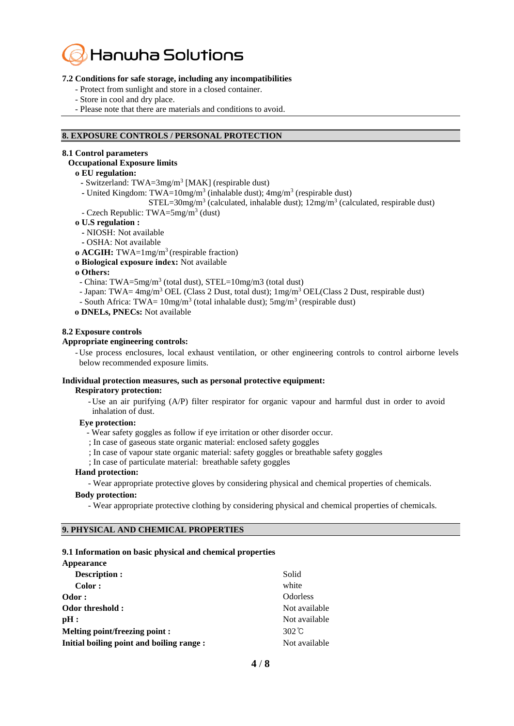

# **7.2 Conditions for safe storage, including any incompatibilities**

- Protect from sunlight and store in a closed container.
- Store in cool and dry place.
- Please note that there are materials and conditions to avoid.

# **8. EXPOSURE CONTROLS / PERSONAL PROTECTION**

# **8.1 Control parameters**

#### **Occupational Exposure limits**

# **ο EU regulation:**

- **-** Switzerland: TWA=3mg/m<sup>3</sup> [MAK] (respirable dust)
- **-** United Kingdom: TWA=10mg/m<sup>3</sup> (inhalable dust); 4mg/m<sup>3</sup> (respirable dust)

# $STEL=30mg/m<sup>3</sup>$  (calculated, inhalable dust);  $12mg/m<sup>3</sup>$  (calculated, respirable dust)

- Czech Republic: TWA= $5mg/m^3$  (dust)
- **ο U.S regulation :** 
	- **-** NIOSH: Not available
	- **-** OSHA: Not available
- **ο ACGIH:** TWA=1mg/m<sup>3</sup> (respirable fraction)
- **ο Biological exposure index:** Not available

#### **ο Others:**

- China: TWA=5mg/m<sup>3</sup> (total dust), STEL=10mg/m3 (total dust)
- Japan: TWA=  $4mg/m^3$  OEL (Class 2 Dust, total dust);  $1mg/m^3$  OEL (Class 2 Dust, respirable dust)
- South Africa: TWA=  $10$ mg/m<sup>3</sup> (total inhalable dust);  $5$ mg/m<sup>3</sup> (respirable dust)
- **ο DNELs, PNECs:** Not available

#### **8.2 Exposure controls**

#### **Appropriate engineering controls:**

- Use process enclosures, local exhaust ventilation, or other engineering controls to control airborne levels below recommended exposure limits.

#### **Individual protection measures, such as personal protective equipment:**

**Respiratory protection:**

- Use an air purifying (A/P) filter respirator for organic vapour and harmful dust in order to avoid inhalation of dust.

#### **Eye protection:**

- Wear safety goggles as follow if eye irritation or other disorder occur.
- ; In case of gaseous state organic material: enclosed safety goggles
- ; In case of vapour state organic material: safety goggles or breathable safety goggles
- ; In case of particulate material: breathable safety goggles

# **Hand protection:**

- Wear appropriate protective gloves by considering physical and chemical properties of chemicals.

# **Body protection:**

- Wear appropriate protective clothing by considering physical and chemical properties of chemicals.

#### **9. PHYSICAL AND CHEMICAL PROPERTIES**

# **9.1 Information on basic physical and chemical properties**

| Appearance                                |                 |
|-------------------------------------------|-----------------|
| <b>Description:</b>                       | Solid           |
| Color:                                    | white           |
| Odor:                                     | <b>Odorless</b> |
| Odor threshold:                           | Not available   |
| pH:                                       | Not available   |
| Melting point/freezing point :            | 302 $\degree$ C |
| Initial boiling point and boiling range : | Not available   |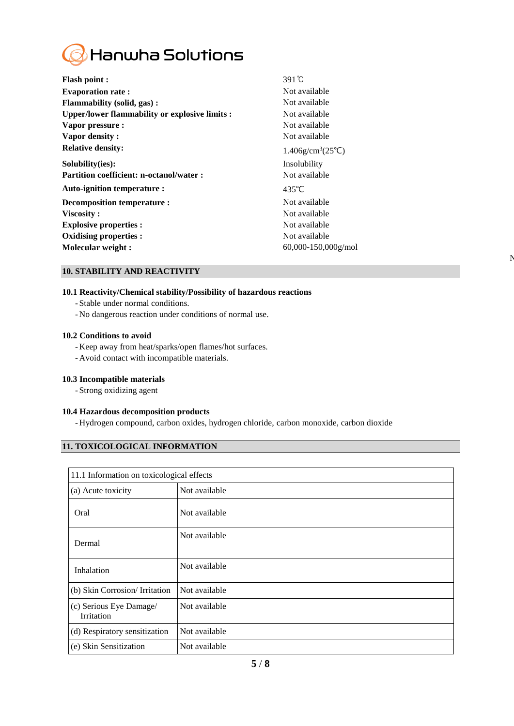

| <b>Flash point:</b>                             | $391^\circ$ C                                 |
|-------------------------------------------------|-----------------------------------------------|
| <b>Evaporation rate:</b>                        | Not available                                 |
| Flammability (solid, gas):                      | Not available                                 |
| Upper/lower flammability or explosive limits :  | Not available                                 |
| Vapor pressure :                                | Not available                                 |
| Vapor density:                                  | Not available                                 |
| <b>Relative density:</b>                        | $1.406$ g/cm <sup>3</sup> (25 <sup>°</sup> C) |
| Solubility(ies):                                | Insolubility                                  |
| <b>Partition coefficient: n-octanol/water :</b> | Not available                                 |
| Auto-ignition temperature :                     | $435^{\circ}$ C                               |
| Decomposition temperature :                     | Not available                                 |
| Viscosity:                                      | Not available                                 |
| <b>Explosive properties:</b>                    | Not available                                 |
| Oxidising properties :                          | Not available                                 |
| Molecular weight :                              | $60,000 - 150,000$ g/mol                      |

# **10. STABILITY AND REACTIVITY**

# **10.1 Reactivity/Chemical stability/Possibility of hazardous reactions**

- Stable under normal conditions.
- No dangerous reaction under conditions of normal use.

# **10.2 Conditions to avoid**

- Keep away from heat/sparks/open flames/hot surfaces.
- Avoid contact with incompatible materials.

#### **10.3 Incompatible materials**

- Strong oxidizing agent

# **10.4 Hazardous decomposition products**

- Hydrogen compound, carbon oxides, hydrogen chloride, carbon monoxide, carbon dioxide

 $\mathbf{N}$ 

# **11. TOXICOLOGICAL INFORMATION**

| 11.1 Information on toxicological effects |               |  |
|-------------------------------------------|---------------|--|
| (a) Acute toxicity                        | Not available |  |
| Oral                                      | Not available |  |
| Dermal                                    | Not available |  |
| Inhalation                                | Not available |  |
| (b) Skin Corrosion/ Irritation            | Not available |  |
| (c) Serious Eye Damage/<br>Irritation     | Not available |  |
| (d) Respiratory sensitization             | Not available |  |
| (e) Skin Sensitization                    | Not available |  |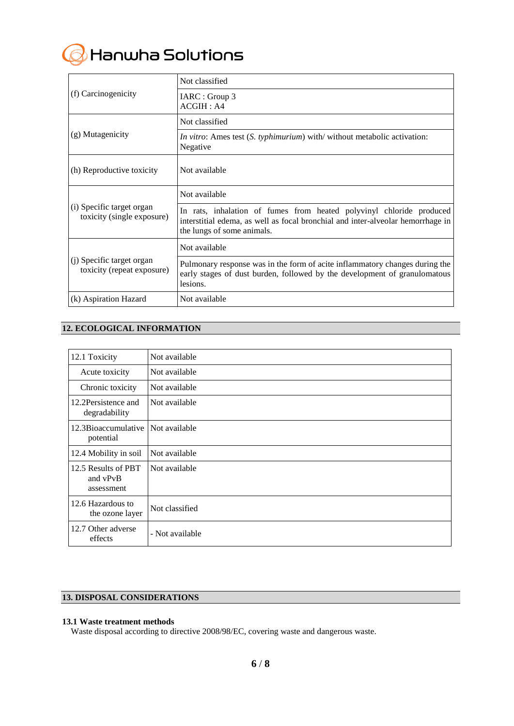

|                                                         | Not classified                                                                                                                                                                        |
|---------------------------------------------------------|---------------------------------------------------------------------------------------------------------------------------------------------------------------------------------------|
| (f) Carcinogenicity                                     | IARC : Group 3<br>ACGIH: A4                                                                                                                                                           |
|                                                         | Not classified                                                                                                                                                                        |
| (g) Mutagenicity                                        | <i>In vitro</i> : Ames test (S. typhimurium) with/ without metabolic activation:<br>Negative                                                                                          |
| (h) Reproductive toxicity                               | Not available                                                                                                                                                                         |
| (i) Specific target organ<br>toxicity (single exposure) | Not available                                                                                                                                                                         |
|                                                         | In rats, inhalation of fumes from heated polyvinyl chloride produced<br>interstitial edema, as well as focal bronchial and inter-alveolar hemorrhage in<br>the lungs of some animals. |
| (j) Specific target organ<br>toxicity (repeat exposure) | Not available                                                                                                                                                                         |
|                                                         | Pulmonary response was in the form of acite inflammatory changes during the<br>early stages of dust burden, followed by the development of granulomatous<br>lesions.                  |
| (k) Aspiration Hazard                                   | Not available                                                                                                                                                                         |

# **12. ECOLOGICAL INFORMATION**

| 12.1 Toxicity                                 | Not available   |
|-----------------------------------------------|-----------------|
| Acute toxicity                                | Not available   |
| Chronic toxicity                              | Not available   |
| 12.2 Persistence and<br>degradability         | Not available   |
| 12.3Bioaccumulative<br>potential              | Not available   |
| 12.4 Mobility in soil                         | Not available   |
| 12.5 Results of PBT<br>and vPvB<br>assessment | Not available   |
| 12.6 Hazardous to<br>the ozone layer          | Not classified  |
| 12.7 Other adverse<br>effects                 | - Not available |

# **13. DISPOSAL CONSIDERATIONS**

# **13.1 Waste treatment methods**

Waste disposal according to directive 2008/98/EC, covering waste and dangerous waste.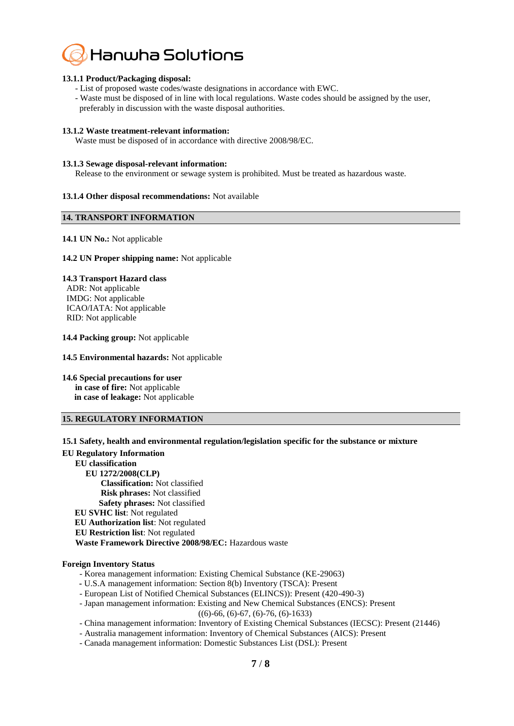

# **13.1.1 Product/Packaging disposal:**

- List of proposed waste codes/waste designations in accordance with EWC.
- Waste must be disposed of in line with local regulations. Waste codes should be assigned by the user, preferably in discussion with the waste disposal authorities.

#### **13.1.2 Waste treatment-relevant information:**

Waste must be disposed of in accordance with directive 2008/98/EC.

#### **13.1.3 Sewage disposal-relevant information:**

Release to the environment or sewage system is prohibited. Must be treated as hazardous waste.

#### **13.1.4 Other disposal recommendations:** Not available

# **14. TRANSPORT INFORMATION**

# **14.1 UN No.:** Not applicable

#### **14.2 UN Proper shipping name:** Not applicable

# **14.3 Transport Hazard class**

ADR: Not applicable IMDG: Not applicable ICAO/IATA: Not applicable RID: Not applicable

#### **14.4 Packing group:** Not applicable

#### **14.5 Environmental hazards:** Not applicable

**14.6 Special precautions for user**

**in case of fire:** Not applicable **in case of leakage:** Not applicable

#### **15. REGULATORY INFORMATION**

**15.1 Safety, health and environmental regulation/legislation specific for the substance or mixture**

#### **EU Regulatory Information**

- **EU classification** 
	- **EU 1272/2008(CLP) Classification:** Not classified  **Risk phrases:** Not classified  **Safety phrases:** Not classified **EU SVHC list**: Not regulated **EU Authorization list**: Not regulated **EU Restriction list**: Not regulated  **Waste Framework Directive 2008/98/EC:** Hazardous waste

#### **Foreign Inventory Status**

- Korea management information: Existing Chemical Substance (KE-29063)
- **-** U.S.A management information: Section 8(b) Inventory (TSCA): Present
- European List of Notified Chemical Substances (ELINCS)): Present (420-490-3)

- Japan management information: Existing and New Chemical Substances (ENCS): Present

((6)-66, (6)-67, (6)-76, (6)-1633)

- China management information: Inventory of Existing Chemical Substances (IECSC): Present (21446)
- Australia management information: Inventory of Chemical Substances (AICS): Present
- Canada management information: Domestic Substances List (DSL): Present